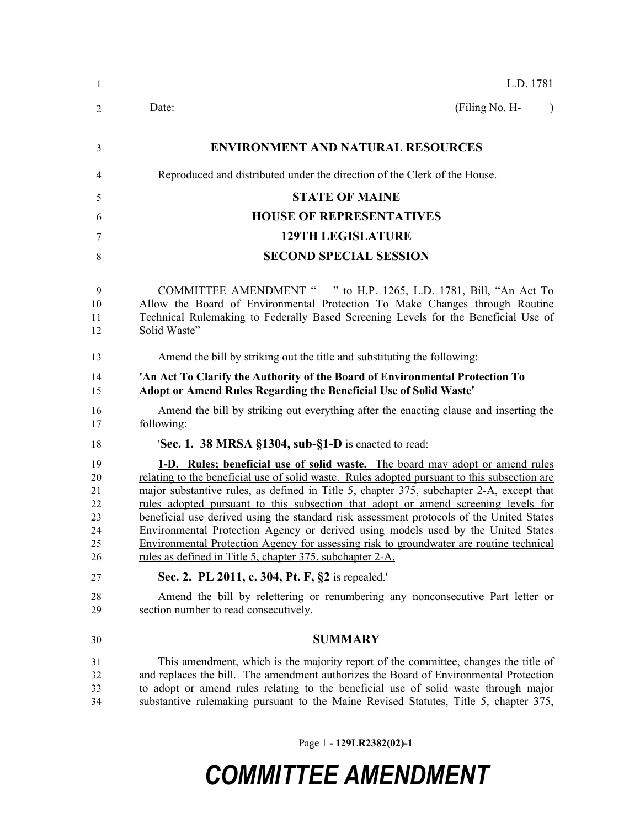| $\mathbf{1}$                                 | L.D. 1781                                                                                                                                                                                                                                                                                                                                                                                                                                                                                                                                                                                                                                                                                                |
|----------------------------------------------|----------------------------------------------------------------------------------------------------------------------------------------------------------------------------------------------------------------------------------------------------------------------------------------------------------------------------------------------------------------------------------------------------------------------------------------------------------------------------------------------------------------------------------------------------------------------------------------------------------------------------------------------------------------------------------------------------------|
| 2                                            | (Filing No. H-<br>Date:                                                                                                                                                                                                                                                                                                                                                                                                                                                                                                                                                                                                                                                                                  |
| 3                                            | <b>ENVIRONMENT AND NATURAL RESOURCES</b>                                                                                                                                                                                                                                                                                                                                                                                                                                                                                                                                                                                                                                                                 |
| 4                                            | Reproduced and distributed under the direction of the Clerk of the House.                                                                                                                                                                                                                                                                                                                                                                                                                                                                                                                                                                                                                                |
| 5                                            | <b>STATE OF MAINE</b>                                                                                                                                                                                                                                                                                                                                                                                                                                                                                                                                                                                                                                                                                    |
| 6                                            | <b>HOUSE OF REPRESENTATIVES</b>                                                                                                                                                                                                                                                                                                                                                                                                                                                                                                                                                                                                                                                                          |
| 7                                            | <b>129TH LEGISLATURE</b>                                                                                                                                                                                                                                                                                                                                                                                                                                                                                                                                                                                                                                                                                 |
| 8                                            | <b>SECOND SPECIAL SESSION</b>                                                                                                                                                                                                                                                                                                                                                                                                                                                                                                                                                                                                                                                                            |
| 9<br>10<br>11<br>12                          | COMMITTEE AMENDMENT " " to H.P. 1265, L.D. 1781, Bill, "An Act To<br>Allow the Board of Environmental Protection To Make Changes through Routine<br>Technical Rulemaking to Federally Based Screening Levels for the Beneficial Use of<br>Solid Waste"                                                                                                                                                                                                                                                                                                                                                                                                                                                   |
| 13                                           | Amend the bill by striking out the title and substituting the following:                                                                                                                                                                                                                                                                                                                                                                                                                                                                                                                                                                                                                                 |
| 14<br>15                                     | 'An Act To Clarify the Authority of the Board of Environmental Protection To<br>Adopt or Amend Rules Regarding the Beneficial Use of Solid Waste'                                                                                                                                                                                                                                                                                                                                                                                                                                                                                                                                                        |
| 16<br>17                                     | Amend the bill by striking out everything after the enacting clause and inserting the<br>following:                                                                                                                                                                                                                                                                                                                                                                                                                                                                                                                                                                                                      |
| 18                                           | 'Sec. 1. 38 MRSA §1304, sub-§1-D is enacted to read:                                                                                                                                                                                                                                                                                                                                                                                                                                                                                                                                                                                                                                                     |
| 19<br>20<br>21<br>22<br>23<br>24<br>25<br>26 | 1-D. Rules; beneficial use of solid waste. The board may adopt or amend rules<br>relating to the beneficial use of solid waste. Rules adopted pursuant to this subsection are<br>major substantive rules, as defined in Title 5, chapter 375, subchapter 2-A, except that<br>rules adopted pursuant to this subsection that adopt or amend screening levels for<br>beneficial use derived using the standard risk assessment protocols of the United States<br>Environmental Protection Agency or derived using models used by the United States<br>Environmental Protection Agency for assessing risk to groundwater are routine technical<br>rules as defined in Title 5, chapter 375, subchapter 2-A. |
| 27                                           | Sec. 2. PL 2011, c. 304, Pt. F, §2 is repealed.                                                                                                                                                                                                                                                                                                                                                                                                                                                                                                                                                                                                                                                          |
| 28<br>29                                     | Amend the bill by relettering or renumbering any nonconsecutive Part letter or<br>section number to read consecutively.                                                                                                                                                                                                                                                                                                                                                                                                                                                                                                                                                                                  |
| 30                                           | <b>SUMMARY</b>                                                                                                                                                                                                                                                                                                                                                                                                                                                                                                                                                                                                                                                                                           |
| 31<br>32<br>33<br>34                         | This amendment, which is the majority report of the committee, changes the title of<br>and replaces the bill. The amendment authorizes the Board of Environmental Protection<br>to adopt or amend rules relating to the beneficial use of solid waste through major<br>substantive rulemaking pursuant to the Maine Revised Statutes, Title 5, chapter 375,                                                                                                                                                                                                                                                                                                                                              |

Page 1 **- 129LR2382(02)-1**

## *COMMITTEE AMENDMENT*